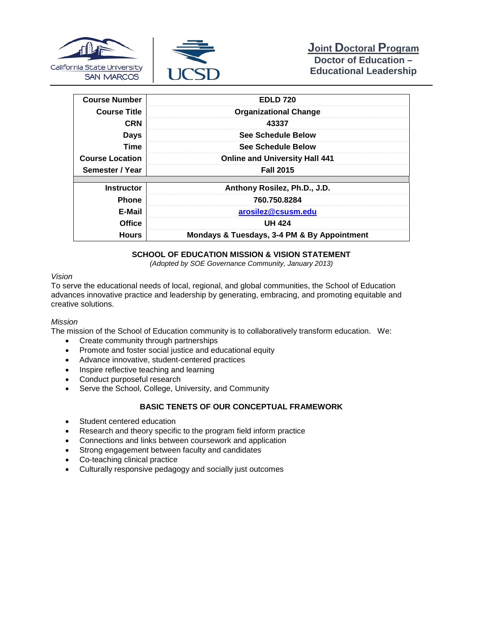



| <b>Course Number</b>   | <b>EDLD 720</b>                             |
|------------------------|---------------------------------------------|
| <b>Course Title</b>    | <b>Organizational Change</b>                |
| <b>CRN</b>             | 43337                                       |
| <b>Days</b>            | <b>See Schedule Below</b>                   |
| <b>Time</b>            | <b>See Schedule Below</b>                   |
| <b>Course Location</b> | <b>Online and University Hall 441</b>       |
| Semester / Year        | <b>Fall 2015</b>                            |
|                        |                                             |
| <b>Instructor</b>      | Anthony Rosilez, Ph.D., J.D.                |
| <b>Phone</b>           | 760.750.8284                                |
| E-Mail                 | arosilez@csusm.edu                          |
| <b>Office</b>          | <b>UH 424</b>                               |
| <b>Hours</b>           | Mondays & Tuesdays, 3-4 PM & By Appointment |

## **SCHOOL OF EDUCATION MISSION & VISION STATEMENT**

*(Adopted by SOE Governance Community, January 2013)*

#### *Vision*

To serve the educational needs of local, regional, and global communities, the School of Education advances innovative practice and leadership by generating, embracing, and promoting equitable and creative solutions.

#### *Mission*

The mission of the School of Education community is to collaboratively transform education. We:

- Create community through partnerships
- Promote and foster social justice and educational equity
- Advance innovative, student-centered practices
- Inspire reflective teaching and learning
- Conduct purposeful research
- Serve the School, College, University, and Community

## **BASIC TENETS OF OUR CONCEPTUAL FRAMEWORK**

- Student centered education
- Research and theory specific to the program field inform practice
- Connections and links between coursework and application
- Strong engagement between faculty and candidates
- Co-teaching clinical practice
- Culturally responsive pedagogy and socially just outcomes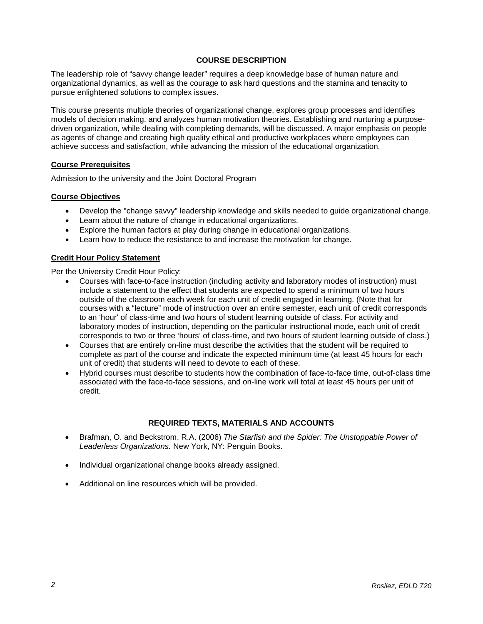## **COURSE DESCRIPTION**

The leadership role of "savvy change leader" requires a deep knowledge base of human nature and organizational dynamics, as well as the courage to ask hard questions and the stamina and tenacity to pursue enlightened solutions to complex issues.

This course presents multiple theories of organizational change, explores group processes and identifies models of decision making, and analyzes human motivation theories. Establishing and nurturing a purposedriven organization, while dealing with completing demands, will be discussed. A major emphasis on people as agents of change and creating high quality ethical and productive workplaces where employees can achieve success and satisfaction, while advancing the mission of the educational organization.

## **Course Prerequisites**

Admission to the university and the Joint Doctoral Program

## **Course Objectives**

- Develop the "change savvy" leadership knowledge and skills needed to guide organizational change.
- Learn about the nature of change in educational organizations.
- Explore the human factors at play during change in educational organizations.
- Learn how to reduce the resistance to and increase the motivation for change.

## **Credit Hour Policy Statement**

Per the University Credit Hour Policy:

- Courses with face-to-face instruction (including activity and laboratory modes of instruction) must include a statement to the effect that students are expected to spend a minimum of two hours outside of the classroom each week for each unit of credit engaged in learning. (Note that for courses with a "lecture" mode of instruction over an entire semester, each unit of credit corresponds to an 'hour' of class-time and two hours of student learning outside of class. For activity and laboratory modes of instruction, depending on the particular instructional mode, each unit of credit corresponds to two or three 'hours' of class-time, and two hours of student learning outside of class.)
- Courses that are entirely on-line must describe the activities that the student will be required to complete as part of the course and indicate the expected minimum time (at least 45 hours for each unit of credit) that students will need to devote to each of these.
- Hybrid courses must describe to students how the combination of face-to-face time, out-of-class time associated with the face-to-face sessions, and on-line work will total at least 45 hours per unit of credit.

## **REQUIRED TEXTS, MATERIALS AND ACCOUNTS**

- Brafman, O. and Beckstrom, R.A. (2006) *The Starfish and the Spider: The Unstoppable Power of Leaderless Organizations.* New York, NY: Penguin Books.
- Individual organizational change books already assigned.
- Additional on line resources which will be provided.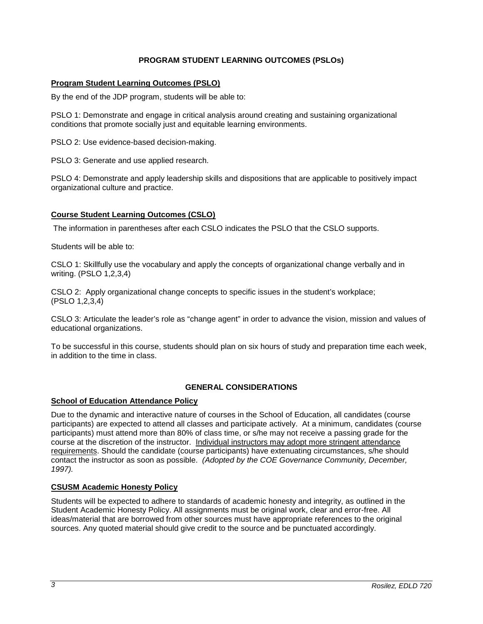## **PROGRAM STUDENT LEARNING OUTCOMES (PSLOs)**

## **Program Student Learning Outcomes (PSLO)**

By the end of the JDP program, students will be able to:

PSLO 1: Demonstrate and engage in critical analysis around creating and sustaining organizational conditions that promote socially just and equitable learning environments.

PSLO 2: Use evidence-based decision-making.

PSLO 3: Generate and use applied research.

PSLO 4: Demonstrate and apply leadership skills and dispositions that are applicable to positively impact organizational culture and practice.

## **Course Student Learning Outcomes (CSLO)**

The information in parentheses after each CSLO indicates the PSLO that the CSLO supports.

Students will be able to:

CSLO 1: Skillfully use the vocabulary and apply the concepts of organizational change verbally and in writing. (PSLO 1,2,3,4)

CSLO 2: Apply organizational change concepts to specific issues in the student's workplace; (PSLO 1,2,3,4)

CSLO 3: Articulate the leader's role as "change agent" in order to advance the vision, mission and values of educational organizations.

To be successful in this course, students should plan on six hours of study and preparation time each week, in addition to the time in class.

## **GENERAL CONSIDERATIONS**

## **School of Education Attendance Policy**

Due to the dynamic and interactive nature of courses in the School of Education, all candidates (course participants) are expected to attend all classes and participate actively. At a minimum, candidates (course participants) must attend more than 80% of class time, or s/he may not receive a passing grade for the course at the discretion of the instructor. Individual instructors may adopt more stringent attendance requirements. Should the candidate (course participants) have extenuating circumstances, s/he should contact the instructor as soon as possible. *(Adopted by the COE Governance Community, December, 1997).*

## **CSUSM Academic Honesty Policy**

Students will be expected to adhere to standards of academic honesty and integrity, as outlined in the Student Academic Honesty Policy. All assignments must be original work, clear and error-free. All ideas/material that are borrowed from other sources must have appropriate references to the original sources. Any quoted material should give credit to the source and be punctuated accordingly.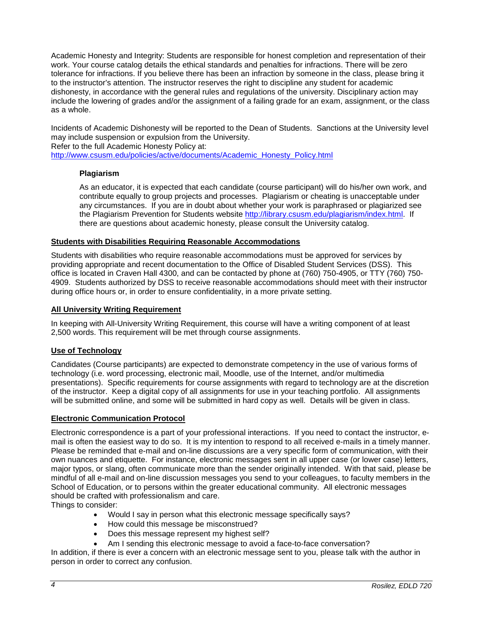Academic Honesty and Integrity: Students are responsible for honest completion and representation of their work. Your course catalog details the ethical standards and penalties for infractions. There will be zero tolerance for infractions. If you believe there has been an infraction by someone in the class, please bring it to the instructor's attention. The instructor reserves the right to discipline any student for academic dishonesty, in accordance with the general rules and regulations of the university. Disciplinary action may include the lowering of grades and/or the assignment of a failing grade for an exam, assignment, or the class as a whole.

Incidents of Academic Dishonesty will be reported to the Dean of Students. Sanctions at the University level may include suspension or expulsion from the University.

Refer to the full Academic Honesty Policy at:

[http://www.csusm.edu/policies/active/documents/Academic\\_Honesty\\_Policy.html](http://www.csusm.edu/policies/active/documents/Academic_Honesty_Policy.html)

## **Plagiarism**

As an educator, it is expected that each candidate (course participant) will do his/her own work, and contribute equally to group projects and processes. Plagiarism or cheating is unacceptable under any circumstances. If you are in doubt about whether your work is paraphrased or plagiarized see the Plagiarism Prevention for Students website [http://library.csusm.edu/plagiarism/index.html.](http://library.csusm.edu/plagiarism/index.html) If there are questions about academic honesty, please consult the University catalog.

#### **Students with Disabilities Requiring Reasonable Accommodations**

Students with disabilities who require reasonable accommodations must be approved for services by providing appropriate and recent documentation to the Office of Disabled Student Services (DSS). This office is located in Craven Hall 4300, and can be contacted by phone at (760) 750-4905, or TTY (760) 750- 4909. Students authorized by DSS to receive reasonable accommodations should meet with their instructor during office hours or, in order to ensure confidentiality, in a more private setting.

#### **All University Writing Requirement**

In keeping with All-University Writing Requirement, this course will have a writing component of at least 2,500 words. This requirement will be met through course assignments.

#### **Use of Technology**

Candidates (Course participants) are expected to demonstrate competency in the use of various forms of technology (i.e. word processing, electronic mail, Moodle, use of the Internet, and/or multimedia presentations). Specific requirements for course assignments with regard to technology are at the discretion of the instructor. Keep a digital copy of all assignments for use in your teaching portfolio. All assignments will be submitted online, and some will be submitted in hard copy as well. Details will be given in class.

#### **Electronic Communication Protocol**

Electronic correspondence is a part of your professional interactions. If you need to contact the instructor, email is often the easiest way to do so. It is my intention to respond to all received e-mails in a timely manner. Please be reminded that e-mail and on-line discussions are a very specific form of communication, with their own nuances and etiquette. For instance, electronic messages sent in all upper case (or lower case) letters, major typos, or slang, often communicate more than the sender originally intended. With that said, please be mindful of all e-mail and on-line discussion messages you send to your colleagues, to faculty members in the School of Education, or to persons within the greater educational community. All electronic messages should be crafted with professionalism and care.

Things to consider:

- Would I say in person what this electronic message specifically says?
- How could this message be misconstrued?
- Does this message represent my highest self?
- Am I sending this electronic message to avoid a face-to-face conversation?

In addition, if there is ever a concern with an electronic message sent to you, please talk with the author in person in order to correct any confusion.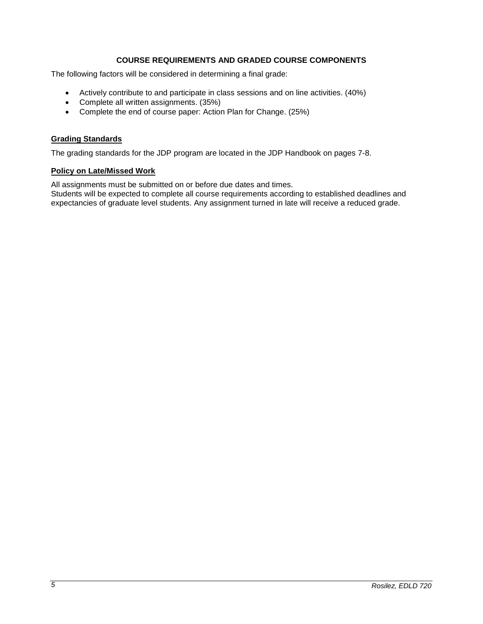## **COURSE REQUIREMENTS AND GRADED COURSE COMPONENTS**

The following factors will be considered in determining a final grade:

- Actively contribute to and participate in class sessions and on line activities. (40%)
- Complete all written assignments. (35%)<br>• Complete the end of course paper: Action
- Complete the end of course paper: Action Plan for Change. (25%)

## **Grading Standards**

The grading standards for the JDP program are located in the JDP Handbook on pages 7-8.

## **Policy on Late/Missed Work**

All assignments must be submitted on or before due dates and times.

Students will be expected to complete all course requirements according to established deadlines and expectancies of graduate level students. Any assignment turned in late will receive a reduced grade.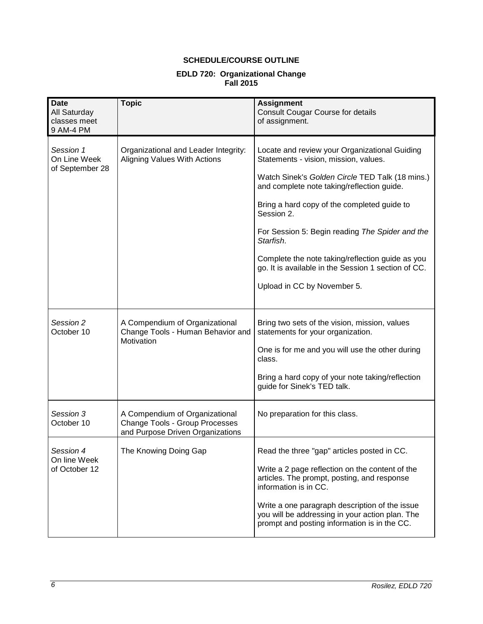# **SCHEDULE/COURSE OUTLINE**

## **EDLD 720: Organizational Change Fall 2015**

| <b>Date</b><br>All Saturday<br>classes meet<br>9 AM-4 PM | <b>Topic</b>                                                                                         | <b>Assignment</b><br><b>Consult Cougar Course for details</b><br>of assignment.                                                                                                                                                                                                                                                                                          |
|----------------------------------------------------------|------------------------------------------------------------------------------------------------------|--------------------------------------------------------------------------------------------------------------------------------------------------------------------------------------------------------------------------------------------------------------------------------------------------------------------------------------------------------------------------|
| Session 1<br>On Line Week<br>of September 28             | Organizational and Leader Integrity:<br>Aligning Values With Actions                                 | Locate and review your Organizational Guiding<br>Statements - vision, mission, values.<br>Watch Sinek's Golden Circle TED Talk (18 mins.)<br>and complete note taking/reflection guide.<br>Bring a hard copy of the completed guide to<br>Session 2.<br>For Session 5: Begin reading The Spider and the<br>Starfish.<br>Complete the note taking/reflection guide as you |
|                                                          |                                                                                                      | go. It is available in the Session 1 section of CC.<br>Upload in CC by November 5.                                                                                                                                                                                                                                                                                       |
| Session 2<br>October 10                                  | A Compendium of Organizational<br>Change Tools - Human Behavior and<br>Motivation                    | Bring two sets of the vision, mission, values<br>statements for your organization.<br>One is for me and you will use the other during<br>class.<br>Bring a hard copy of your note taking/reflection<br>guide for Sinek's TED talk.                                                                                                                                       |
| Session 3<br>October 10                                  | A Compendium of Organizational<br>Change Tools - Group Processes<br>and Purpose Driven Organizations | No preparation for this class.                                                                                                                                                                                                                                                                                                                                           |
| Session 4<br>On line Week<br>of October 12               | The Knowing Doing Gap                                                                                | Read the three "gap" articles posted in CC.<br>Write a 2 page reflection on the content of the<br>articles. The prompt, posting, and response<br>information is in CC.<br>Write a one paragraph description of the issue<br>you will be addressing in your action plan. The<br>prompt and posting information is in the CC.                                              |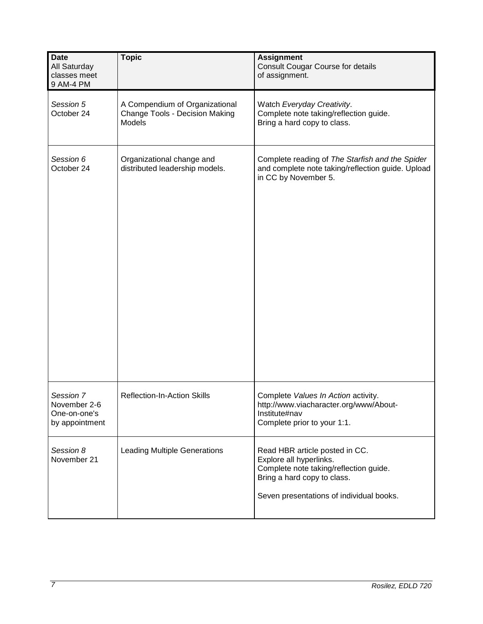| <b>Date</b><br>All Saturday<br>classes meet<br>9 AM-4 PM    | <b>Topic</b>                                                               | <b>Assignment</b><br><b>Consult Cougar Course for details</b><br>of assignment.                                                                                                |
|-------------------------------------------------------------|----------------------------------------------------------------------------|--------------------------------------------------------------------------------------------------------------------------------------------------------------------------------|
| Session 5<br>October 24                                     | A Compendium of Organizational<br>Change Tools - Decision Making<br>Models | Watch Everyday Creativity.<br>Complete note taking/reflection guide.<br>Bring a hard copy to class.                                                                            |
| Session 6<br>October 24                                     | Organizational change and<br>distributed leadership models.                | Complete reading of The Starfish and the Spider<br>and complete note taking/reflection guide. Upload<br>in CC by November 5.                                                   |
| Session 7<br>November 2-6<br>One-on-one's<br>by appointment | <b>Reflection-In-Action Skills</b>                                         | Complete Values In Action activity.<br>http://www.viacharacter.org/www/About-<br>Institute#nav<br>Complete prior to your 1:1.                                                  |
| Session 8<br>November 21                                    | <b>Leading Multiple Generations</b>                                        | Read HBR article posted in CC.<br>Explore all hyperlinks.<br>Complete note taking/reflection guide.<br>Bring a hard copy to class.<br>Seven presentations of individual books. |